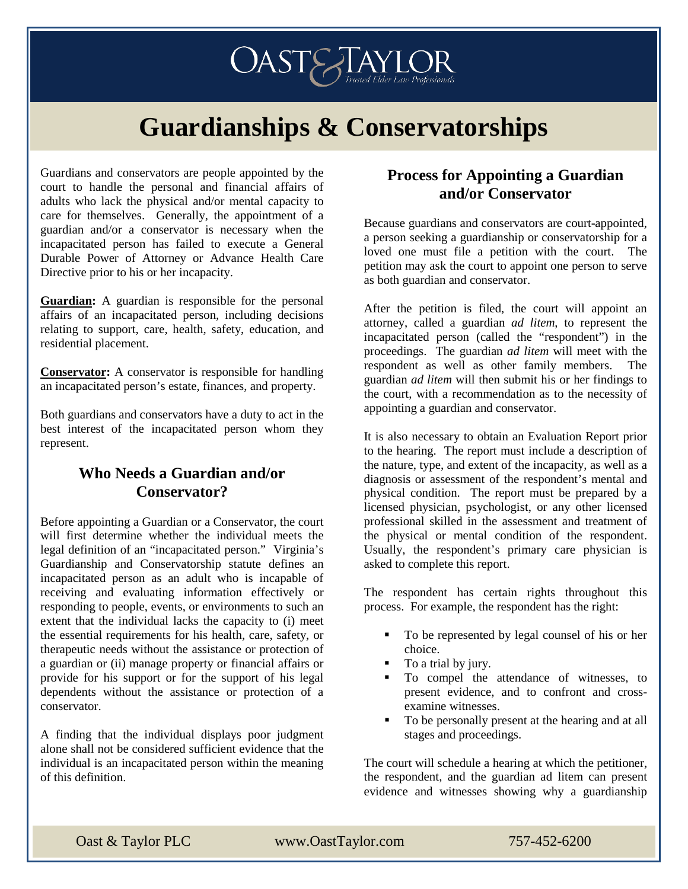

# **Guardianships & Conservatorships**

Guardians and conservators are people appointed by the court to handle the personal and financial affairs of adults who lack the physical and/or mental capacity to care for themselves. Generally, the appointment of a guardian and/or a conservator is necessary when the incapacitated person has failed to execute a General Durable Power of Attorney or Advance Health Care Directive prior to his or her incapacity.

**Guardian:** A guardian is responsible for the personal affairs of an incapacitated person, including decisions relating to support, care, health, safety, education, and residential placement.

**Conservator:** A conservator is responsible for handling an incapacitated person's estate, finances, and property.

Both guardians and conservators have a duty to act in the best interest of the incapacitated person whom they represent.

#### **Who Needs a Guardian and/or Conservator?**

Before appointing a Guardian or a Conservator, the court will first determine whether the individual meets the legal definition of an "incapacitated person." Virginia's Guardianship and Conservatorship statute defines an incapacitated person as an adult who is incapable of receiving and evaluating information effectively or responding to people, events, or environments to such an extent that the individual lacks the capacity to (i) meet the essential requirements for his health, care, safety, or therapeutic needs without the assistance or protection of a guardian or (ii) manage property or financial affairs or provide for his support or for the support of his legal dependents without the assistance or protection of a conservator.

A finding that the individual displays poor judgment alone shall not be considered sufficient evidence that the individual is an incapacitated person within the meaning of this definition.

#### **Process for Appointing a Guardian and/or Conservator**

Because guardians and conservators are court-appointed, a person seeking a guardianship or conservatorship for a loved one must file a petition with the court. The petition may ask the court to appoint one person to serve as both guardian and conservator.

After the petition is filed, the court will appoint an attorney, called a guardian *ad litem*, to represent the incapacitated person (called the "respondent") in the proceedings. The guardian *ad litem* will meet with the respondent as well as other family members. The guardian *ad litem* will then submit his or her findings to the court, with a recommendation as to the necessity of appointing a guardian and conservator.

It is also necessary to obtain an Evaluation Report prior to the hearing. The report must include a description of the nature, type, and extent of the incapacity, as well as a diagnosis or assessment of the respondent's mental and physical condition. The report must be prepared by a licensed physician, psychologist, or any other licensed professional skilled in the assessment and treatment of the physical or mental condition of the respondent. Usually, the respondent's primary care physician is asked to complete this report.

The respondent has certain rights throughout this process. For example, the respondent has the right:

- To be represented by legal counsel of his or her choice.
- To a trial by jury.
- $\blacksquare$  To compel the attendance of witnesses, to present evidence, and to confront and crossexamine witnesses.
- To be personally present at the hearing and at all stages and proceedings.

The court will schedule a hearing at which the petitioner, the respondent, and the guardian ad litem can present evidence and witnesses showing why a guardianship